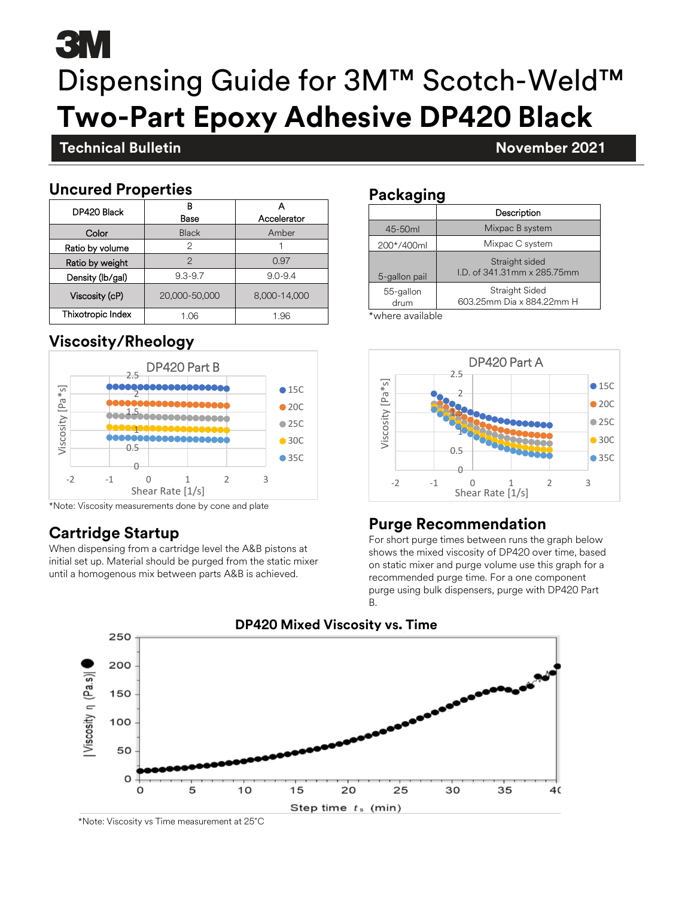# **3M** Dispensing Guide for 3M™ Scotch-Weld™ **Two-Part Epoxy Adhesive DP420 Black**

#### **Technical Bulletin November 2021**

#### **Uncured Properties**

**November 2021**

| DP420 Black       | R<br>Base     | Accelerator  |
|-------------------|---------------|--------------|
| Color             | <b>Black</b>  | Amber        |
| Ratio by volume   | 2             |              |
| Ratio by weight   | $\mathcal{P}$ | 0.97         |
| Density (lb/gal)  | $9.3 - 9.7$   | $9.0 - 9.4$  |
| Viscosity (cP)    | 20,000-50,000 | 8,000-14,000 |
| Thixotropic Index | 1.06          | 1.96         |

#### **Viscosity/Rheology**



\*Note: Viscosity measurements done by cone and plate

### **Cartridge Startup**

When dispensing from a cartridge level the A&B pistons at initial set up. Material should be purged from the static mixer until a homogenous mix between parts A&B is achieved.

#### **Packaging**

| Description                                  |  |  |
|----------------------------------------------|--|--|
| Mixpac B system                              |  |  |
| Mixpac C system                              |  |  |
| Straight sided<br>LD, of 341,31mm x 285,75mm |  |  |
| Straight Sided<br>603.25mm Dia x 884.22mm H  |  |  |
|                                              |  |  |

\*where available



#### **Purge Recommendation**

For short purge times between runs the graph below shows the mixed viscosity of DP420 over time, based on static mixer and purge volume use this graph for a recommended purge time. For a one component purge using bulk dispensers, purge with DP420 Part B.



\*Note: Viscosity vs Time measurement at 25˚C